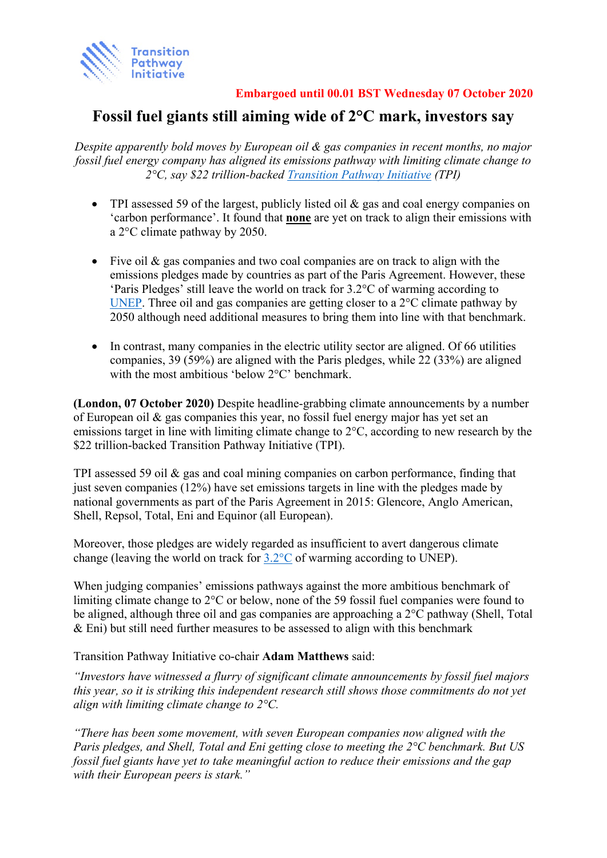

**Embargoed until 00.01 BST Wednesday 07 October 2020** 

# **Fossil fuel giants still aiming wide of 2°C mark, investors say**

*Despite apparently bold moves by European oil & gas companies in recent months, no major fossil fuel energy company has aligned its emissions pathway with limiting climate change to 2°C, say \$22 trillion-backed [Transition Pathway Initiative](https://www.transitionpathwayinitiative.org/) (TPI)*

- TPI assessed 59 of the largest, publicly listed oil & gas and coal energy companies on 'carbon performance'. It found that **none** are yet on track to align their emissions with a 2°C climate pathway by 2050.
- Five oil & gas companies and two coal companies are on track to align with the emissions pledges made by countries as part of the Paris Agreement. However, these 'Paris Pledges' still leave the world on track for 3.2°C of warming according to [UNEP.](https://wedocs.unep.org/bitstream/handle/20.500.11822/30797/EGR2019.pdf?sequence=1&isAllowed=y) Three oil and gas companies are getting closer to a 2°C climate pathway by 2050 although need additional measures to bring them into line with that benchmark.
- In contrast, many companies in the electric utility sector are aligned. Of 66 utilities companies, 39 (59%) are aligned with the Paris pledges, while 22 (33%) are aligned with the most ambitious 'below 2°C' benchmark.

**(London, 07 October 2020)** Despite headline-grabbing climate announcements by a number of European oil & gas companies this year, no fossil fuel energy major has yet set an emissions target in line with limiting climate change to 2°C, according to new research by the \$22 trillion-backed Transition Pathway Initiative (TPI).

TPI assessed 59 oil & gas and coal mining companies on carbon performance, finding that just seven companies  $(12%)$  have set emissions targets in line with the pledges made by national governments as part of the Paris Agreement in 2015: Glencore, Anglo American, Shell, Repsol, Total, Eni and Equinor (all European).

Moreover, those pledges are widely regarded as insufficient to avert dangerous climate change (leaving the world on track for  $3.2^{\circ}$ C of warming according to UNEP).

When judging companies' emissions pathways against the more ambitious benchmark of limiting climate change to 2°C or below, none of the 59 fossil fuel companies were found to be aligned, although three oil and gas companies are approaching a 2°C pathway (Shell, Total & Eni) but still need further measures to be assessed to align with this benchmark

Transition Pathway Initiative co-chair **Adam Matthews** said:

*"Investors have witnessed a flurry of significant climate announcements by fossil fuel majors this year, so it is striking this independent research still shows those commitments do not yet align with limiting climate change to 2°C.*

*"There has been some movement, with seven European companies now aligned with the Paris pledges, and Shell, Total and Eni getting close to meeting the 2°C benchmark. But US fossil fuel giants have yet to take meaningful action to reduce their emissions and the gap with their European peers is stark."*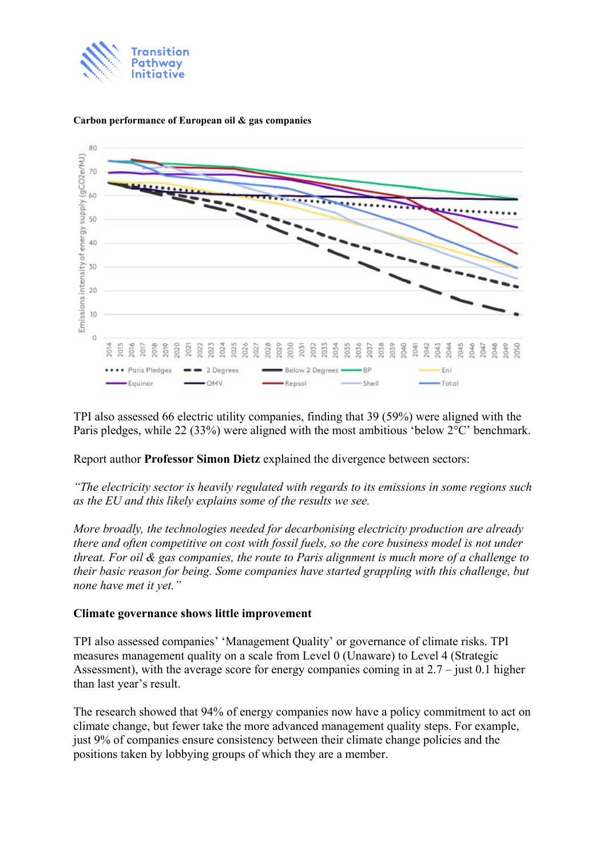



#### **Carbon performance of European oil & gas companies**

TPI also assessed 66 electric utility companies, finding that 39 (59%) were aligned with the Paris pledges, while 22 (33%) were aligned with the most ambitious 'below 2°C' benchmark.

# Report author **Professor Simon Dietz** explained the divergence between sectors:

*"The electricity sector is heavily regulated with regards to its emissions in some regions such as the EU and this likely explains some of the results we see.* 

*More broadly, the technologies needed for decarbonising electricity production are already there and often competitive on cost with fossil fuels, so the core business model is not under threat. For oil & gas companies, the route to Paris alignment is much more of a challenge to their basic reason for being. Some companies have started grappling with this challenge, but none have met it yet."* 

# **Climate governance shows little improvement**

TPI also assessed companies' 'Management Quality' or governance of climate risks. TPI measures management quality on a scale from Level 0 (Unaware) to Level 4 (Strategic Assessment), with the average score for energy companies coming in at 2.7 – just 0.1 higher than last year's result.

The research showed that 94% of energy companies now have a policy commitment to act on climate change, but fewer take the more advanced management quality steps. For example, just 9% of companies ensure consistency between their climate change policies and the positions taken by lobbying groups of which they are a member.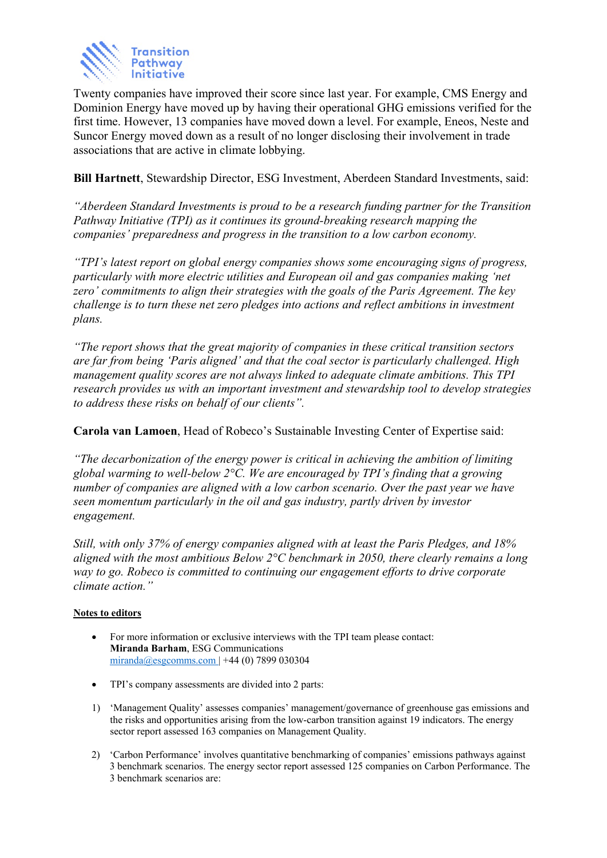

Twenty companies have improved their score since last year. For example, CMS Energy and Dominion Energy have moved up by having their operational GHG emissions verified for the first time. However, 13 companies have moved down a level. For example, Eneos, Neste and Suncor Energy moved down as a result of no longer disclosing their involvement in trade associations that are active in climate lobbying.

**Bill Hartnett**, Stewardship Director, ESG Investment, Aberdeen Standard Investments, said:

*"Aberdeen Standard Investments is proud to be a research funding partner for the Transition Pathway Initiative (TPI) as it continues its ground-breaking research mapping the companies' preparedness and progress in the transition to a low carbon economy.* 

*"TPI's latest report on global energy companies shows some encouraging signs of progress, particularly with more electric utilities and European oil and gas companies making 'net zero' commitments to align their strategies with the goals of the Paris Agreement. The key challenge is to turn these net zero pledges into actions and reflect ambitions in investment plans.* 

*"The report shows that the great majority of companies in these critical transition sectors are far from being 'Paris aligned' and that the coal sector is particularly challenged. High management quality scores are not always linked to adequate climate ambitions. This TPI research provides us with an important investment and stewardship tool to develop strategies to address these risks on behalf of our clients".* 

**Carola van Lamoen**, Head of Robeco's Sustainable Investing Center of Expertise said:

*"The decarbonization of the energy power is critical in achieving the ambition of limiting global warming to well-below 2°C. We are encouraged by TPI's finding that a growing number of companies are aligned with a low carbon scenario. Over the past year we have seen momentum particularly in the oil and gas industry, partly driven by investor engagement.* 

*Still, with only 37% of energy companies aligned with at least the Paris Pledges, and 18% aligned with the most ambitious Below 2°C benchmark in 2050, there clearly remains a long way to go. Robeco is committed to continuing our engagement efforts to drive corporate climate action."* 

# **Notes to editors**

- For more information or exclusive interviews with the TPI team please contact: **Miranda Barham**, ESG Communications  $miranda@esgeomms.com$  +44 (0) 7899 030304
- TPI's company assessments are divided into 2 parts:
- 1) 'Management Quality' assesses companies' management/governance of greenhouse gas emissions and the risks and opportunities arising from the low-carbon transition against 19 indicators. The energy sector report assessed 163 companies on Management Quality.
- 2) 'Carbon Performance' involves quantitative benchmarking of companies' emissions pathways against 3 benchmark scenarios. The energy sector report assessed 125 companies on Carbon Performance. The 3 benchmark scenarios are: